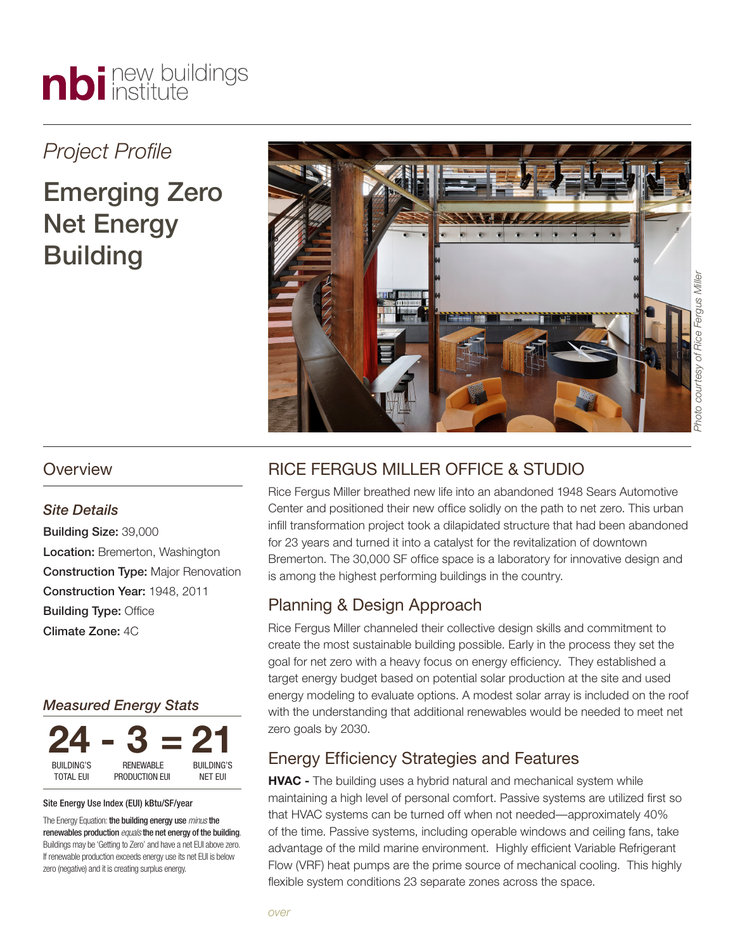# nbi new buildings

# *Project Profile*

# Emerging Zero Net Energy **Building**



# *Site Details*

Building Size: 39,000 Location: Bremerton, Washington **Construction Type: Major Renovation** Construction Year: 1948, 2011 Building Type: Office Climate Zone: 4C

# *Measured Energy Stats*



#### Site Energy Use Index (EUI) kBtu/SF/year

The Energy Equation: the building energy use *minus*the renewables production *equals*the net energy of the building. Buildings may be 'Getting to Zero' and have a net EUI above zero. If renewable production exceeds energy use its net EUI is below zero (negative) and it is creating surplus energy.

# RICE FERGUS MILLER OFFICE & STUDIO

Rice Fergus Miller breathed new life into an abandoned 1948 Sears Automotive Center and positioned their new office solidly on the path to net zero. This urban infill transformation project took a dilapidated structure that had been abandoned for 23 years and turned it into a catalyst for the revitalization of downtown Bremerton. The 30,000 SF office space is a laboratory for innovative design and is among the highest performing buildings in the country.

# Planning & Design Approach

Rice Fergus Miller channeled their collective design skills and commitment to create the most sustainable building possible. Early in the process they set the goal for net zero with a heavy focus on energy efficiency. They established a target energy budget based on potential solar production at the site and used energy modeling to evaluate options. A modest solar array is included on the roof with the understanding that additional renewables would be needed to meet net zero goals by 2030.

# Energy Efficiency Strategies and Features

**HVAC -** The building uses a hybrid natural and mechanical system while maintaining a high level of personal comfort. Passive systems are utilized first so that HVAC systems can be turned off when not needed—approximately 40% of the time. Passive systems, including operable windows and ceiling fans, take advantage of the mild marine environment. Highly efficient Variable Refrigerant Flow (VRF) heat pumps are the prime source of mechanical cooling. This highly flexible system conditions 23 separate zones across the space.